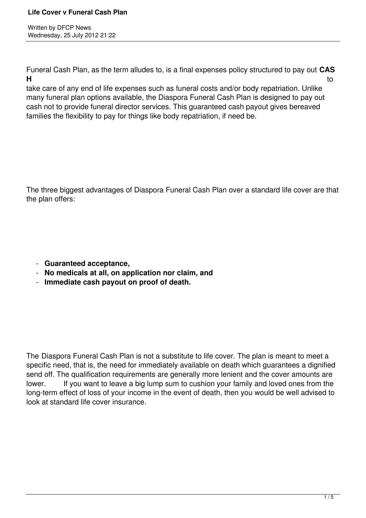Funeral Cash Plan, as the term alludes to, is a final expenses policy structured to pay out **CAS H** to

take care of any end of life expenses such as funeral costs and/or body repatriation. Unlike many funeral plan options available, the Diaspora Funeral Cash Plan is designed to pay out cash not to provide funeral director services. This guaranteed cash payout gives bereaved families the flexibility to pay for things like body repatriation, if need be.

The three biggest advantages of Diaspora Funeral Cash Plan over a standard life cover are that the plan offers:

- **Guaranteed acceptance,**
- **No medicals at all, on application nor claim, and**
- **Immediate cash payout on proof of death.**

The Diaspora Funeral Cash Plan is not a substitute to life cover. The plan is meant to meet a specific need, that is, the need for immediately available on death which guarantees a dignified send off. The qualification requirements are generally more lenient and the cover amounts are lower. If you want to leave a big lump sum to cushion your family and loved ones from the long-term effect of loss of your income in the event of death, then you would be well advised to look at standard life cover insurance.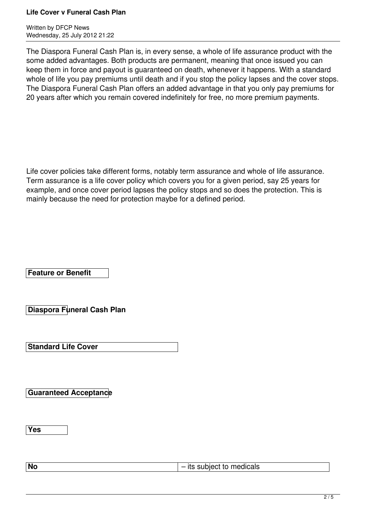#### **Life Cover v Funeral Cash Plan**

Written by DFCP News Wednesday, 25 July 2012 21:22

The Diaspora Funeral Cash Plan is, in every sense, a whole of life assurance product with the some added advantages. Both products are permanent, meaning that once issued you can keep them in force and payout is guaranteed on death, whenever it happens. With a standard whole of life you pay premiums until death and if you stop the policy lapses and the cover stops. The Diaspora Funeral Cash Plan offers an added advantage in that you only pay premiums for 20 years after which you remain covered indefinitely for free, no more premium payments.

Life cover policies take different forms, notably term assurance and whole of life assurance. Term assurance is a life cover policy which covers you for a given period, say 25 years for example, and once cover period lapses the policy stops and so does the protection. This is mainly because the need for protection maybe for a defined period.

**Feature or Benefit**

**Diaspora Funeral Cash Plan**

**Standard Life Cover**

**Guaranteed Acceptance**

**Yes**

**No** – its subject to medicals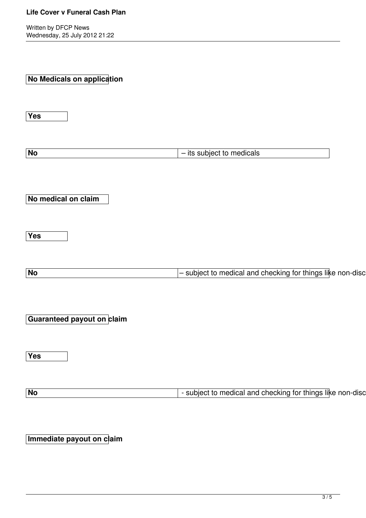### **Life Cover v Funeral Cash Plan**

Written by DFCP News Wednesday, 25 July 2012 21:22

|  | No Medicals on application |  |  |  |
|--|----------------------------|--|--|--|
|--|----------------------------|--|--|--|

**Yes**

| uaio |           |               |
|------|-----------|---------------|
|      | <b>No</b> | ----- -- ---- |

**No medical on claim**

**Yes**

| Nc | non-<br>and checking<br>like<br>thinas<br>medical<br>discl<br>---<br>TOr<br>7 V J I |
|----|-------------------------------------------------------------------------------------|

| Guaranteed payout on claim |  |  |  |
|----------------------------|--|--|--|
|----------------------------|--|--|--|

**Yes**

| $ $ Nc | subject to medical and checking for things like non-a.<br>-dısc |
|--------|-----------------------------------------------------------------|

# **Immediate payout on claim**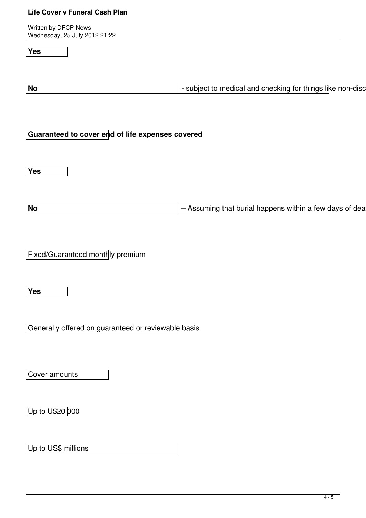#### **Life Cover v Funeral Cash Plan**

Written by DFCP News Wednesday, 25 July 2012 21:22

**Yes**

| <b>No</b> | I checking for things.<br>-disci<br>like<br>and<br>medical<br>$\sim$ uk<br>uplect th<br>non- |
|-----------|----------------------------------------------------------------------------------------------|

# **Guaranteed to cover end of life expenses covered**

**Yes**

| $\overline{\phantom{a}}$ No | $-$ Assuming that burial happens within a few $\phi$ ays of dea |
|-----------------------------|-----------------------------------------------------------------|

Fixed/Guaranteed monthly premium

**Yes**

Generally offered on guaranteed or reviewable basis

Cover amounts

Up to U\$20 000

Up to US\$ millions